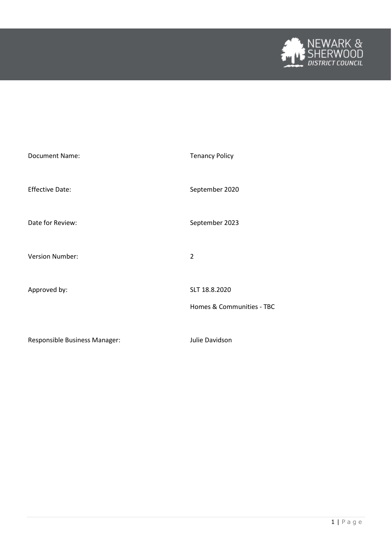

| <b>Document Name:</b>         | <b>Tenancy Policy</b>                      |
|-------------------------------|--------------------------------------------|
| <b>Effective Date:</b>        | September 2020                             |
| Date for Review:              | September 2023                             |
| <b>Version Number:</b>        | $\overline{2}$                             |
| Approved by:                  | SLT 18.8.2020<br>Homes & Communities - TBC |
| Responsible Business Manager: | Julie Davidson                             |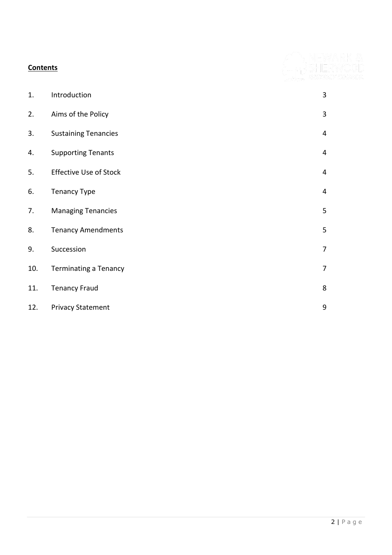| <b>Contents</b> |                               |                         |
|-----------------|-------------------------------|-------------------------|
|                 |                               |                         |
| 1.              | Introduction                  | 3                       |
| 2.              | Aims of the Policy            | $\mathbf{3}$            |
| 3.              | <b>Sustaining Tenancies</b>   | $\overline{4}$          |
| 4.              | <b>Supporting Tenants</b>     | $\overline{\mathbf{4}}$ |
| 5.              | <b>Effective Use of Stock</b> | $\overline{4}$          |
| 6.              | <b>Tenancy Type</b>           | $\overline{4}$          |
| 7.              | <b>Managing Tenancies</b>     | 5                       |
| 8.              | <b>Tenancy Amendments</b>     | 5                       |
| 9.              | Succession                    | $\overline{7}$          |
| 10.             | <b>Terminating a Tenancy</b>  | $\overline{7}$          |
| 11.             | <b>Tenancy Fraud</b>          | 8                       |
| 12.             | <b>Privacy Statement</b>      | 9                       |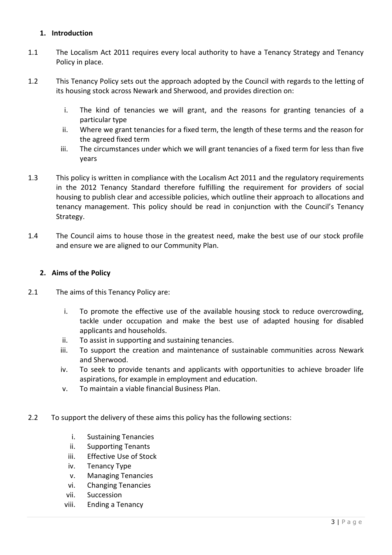# **1. Introduction**

- 1.1 The Localism Act 2011 requires every local authority to have a Tenancy Strategy and Tenancy Policy in place.
- 1.2 This Tenancy Policy sets out the approach adopted by the Council with regards to the letting of its housing stock across Newark and Sherwood, and provides direction on:
	- i. The kind of tenancies we will grant, and the reasons for granting tenancies of a particular type
	- ii. Where we grant tenancies for a fixed term, the length of these terms and the reason for the agreed fixed term
	- iii. The circumstances under which we will grant tenancies of a fixed term for less than five years
- 1.3 This policy is written in compliance with the Localism Act 2011 and the regulatory requirements in the 2012 Tenancy Standard therefore fulfilling the requirement for providers of social housing to publish clear and accessible policies, which outline their approach to allocations and tenancy management. This policy should be read in conjunction with the Council's Tenancy Strategy.
- 1.4 The Council aims to house those in the greatest need, make the best use of our stock profile and ensure we are aligned to our Community Plan.

## **2. Aims of the Policy**

- 2.1 The aims of this Tenancy Policy are:
	- i. To promote the effective use of the available housing stock to reduce overcrowding, tackle under occupation and make the best use of adapted housing for disabled applicants and households.
	- ii. To assist in supporting and sustaining tenancies.
	- iii. To support the creation and maintenance of sustainable communities across Newark and Sherwood.
	- iv. To seek to provide tenants and applicants with opportunities to achieve broader life aspirations, for example in employment and education.
	- v. To maintain a viable financial Business Plan.
- 2.2 To support the delivery of these aims this policy has the following sections:
	- i. Sustaining Tenancies
	- ii. Supporting Tenants
	- iii. Effective Use of Stock
	- iv. Tenancy Type
	- v. Managing Tenancies
	- vi. Changing Tenancies
	- vii. Succession
	- viii. Ending a Tenancy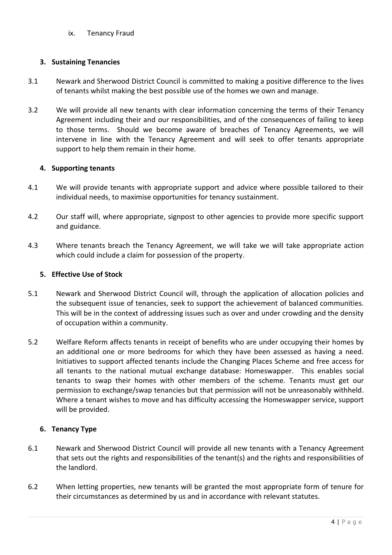ix. Tenancy Fraud

# **3. Sustaining Tenancies**

- 3.1 Newark and Sherwood District Council is committed to making a positive difference to the lives of tenants whilst making the best possible use of the homes we own and manage.
- 3.2 We will provide all new tenants with clear information concerning the terms of their Tenancy Agreement including their and our responsibilities, and of the consequences of failing to keep to those terms. Should we become aware of breaches of Tenancy Agreements, we will intervene in line with the Tenancy Agreement and will seek to offer tenants appropriate support to help them remain in their home.

# **4. Supporting tenants**

- 4.1 We will provide tenants with appropriate support and advice where possible tailored to their individual needs, to maximise opportunities for tenancy sustainment.
- 4.2 Our staff will, where appropriate, signpost to other agencies to provide more specific support and guidance.
- 4.3 Where tenants breach the Tenancy Agreement, we will take we will take appropriate action which could include a claim for possession of the property.

## **5. Effective Use of Stock**

- 5.1 Newark and Sherwood District Council will, through the application of allocation policies and the subsequent issue of tenancies, seek to support the achievement of balanced communities. This will be in the context of addressing issues such as over and under crowding and the density of occupation within a community.
- 5.2 Welfare Reform affects tenants in receipt of benefits who are under occupying their homes by an additional one or more bedrooms for which they have been assessed as having a need. Initiatives to support affected tenants include the Changing Places Scheme and free access for all tenants to the national mutual exchange database: Homeswapper. This enables social tenants to swap their homes with other members of the scheme. Tenants must get our permission to exchange/swap tenancies but that permission will not be unreasonably withheld. Where a tenant wishes to move and has difficulty accessing the Homeswapper service, support will be provided.

# **6. Tenancy Type**

- 6.1 Newark and Sherwood District Council will provide all new tenants with a Tenancy Agreement that sets out the rights and responsibilities of the tenant(s) and the rights and responsibilities of the landlord.
- 6.2 When letting properties, new tenants will be granted the most appropriate form of tenure for their circumstances as determined by us and in accordance with relevant statutes.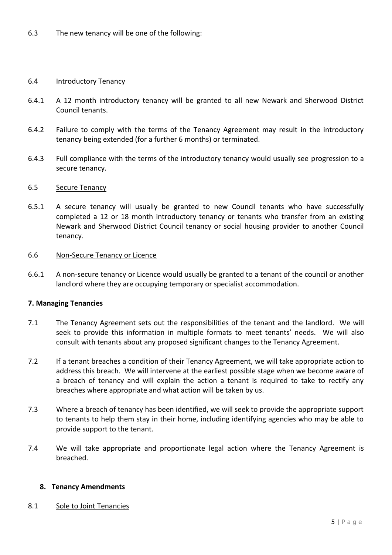### 6.4 Introductory Tenancy

- 6.4.1 A 12 month introductory tenancy will be granted to all new Newark and Sherwood District Council tenants.
- 6.4.2 Failure to comply with the terms of the Tenancy Agreement may result in the introductory tenancy being extended (for a further 6 months) or terminated.
- 6.4.3 Full compliance with the terms of the introductory tenancy would usually see progression to a secure tenancy.

#### 6.5 Secure Tenancy

6.5.1 A secure tenancy will usually be granted to new Council tenants who have successfully completed a 12 or 18 month introductory tenancy or tenants who transfer from an existing Newark and Sherwood District Council tenancy or social housing provider to another Council tenancy.

#### 6.6 Non-Secure Tenancy or Licence

6.6.1 A non-secure tenancy or Licence would usually be granted to a tenant of the council or another landlord where they are occupying temporary or specialist accommodation.

### **7. Managing Tenancies**

- 7.1 The Tenancy Agreement sets out the responsibilities of the tenant and the landlord. We will seek to provide this information in multiple formats to meet tenants' needs. We will also consult with tenants about any proposed significant changes to the Tenancy Agreement.
- 7.2 If a tenant breaches a condition of their Tenancy Agreement, we will take appropriate action to address this breach. We will intervene at the earliest possible stage when we become aware of a breach of tenancy and will explain the action a tenant is required to take to rectify any breaches where appropriate and what action will be taken by us.
- 7.3 Where a breach of tenancy has been identified, we will seek to provide the appropriate support to tenants to help them stay in their home, including identifying agencies who may be able to provide support to the tenant.
- 7.4 We will take appropriate and proportionate legal action where the Tenancy Agreement is breached.

### **8. Tenancy Amendments**

8.1 Sole to Joint Tenancies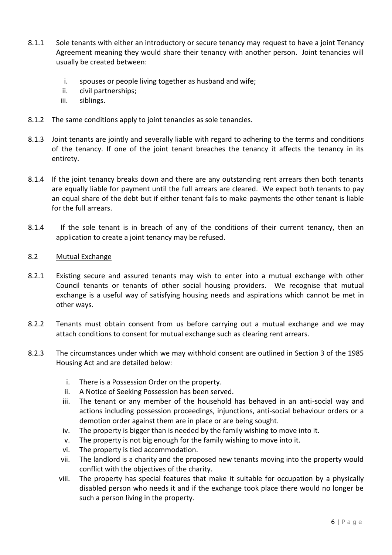- 8.1.1 Sole tenants with either an introductory or secure tenancy may request to have a joint Tenancy Agreement meaning they would share their tenancy with another person. Joint tenancies will usually be created between:
	- i. spouses or people living together as husband and wife;
	- ii. civil partnerships;
	- iii. siblings.
- 8.1.2 The same conditions apply to joint tenancies as sole tenancies.
- 8.1.3 Joint tenants are jointly and severally liable with regard to adhering to the terms and conditions of the tenancy. If one of the joint tenant breaches the tenancy it affects the tenancy in its entirety.
- 8.1.4 If the joint tenancy breaks down and there are any outstanding rent arrears then both tenants are equally liable for payment until the full arrears are cleared. We expect both tenants to pay an equal share of the debt but if either tenant fails to make payments the other tenant is liable for the full arrears.
- 8.1.4 If the sole tenant is in breach of any of the conditions of their current tenancy, then an application to create a joint tenancy may be refused.
- 8.2 Mutual Exchange
- 8.2.1 Existing secure and assured tenants may wish to enter into a mutual exchange with other Council tenants or tenants of other social housing providers. We recognise that mutual exchange is a useful way of satisfying housing needs and aspirations which cannot be met in other ways.
- 8.2.2 Tenants must obtain consent from us before carrying out a mutual exchange and we may attach conditions to consent for mutual exchange such as clearing rent arrears.
- 8.2.3 The circumstances under which we may withhold consent are outlined in Section 3 of the 1985 Housing Act and are detailed below:
	- i. There is a Possession Order on the property.
	- ii. A Notice of Seeking Possession has been served.
	- iii. The tenant or any member of the household has behaved in an anti-social way and actions including possession proceedings, injunctions, anti-social behaviour orders or a demotion order against them are in place or are being sought.
	- iv. The property is bigger than is needed by the family wishing to move into it.
	- v. The property is not big enough for the family wishing to move into it.
	- vi. The property is tied accommodation.
	- vii. The landlord is a charity and the proposed new tenants moving into the property would conflict with the objectives of the charity.
	- viii. The property has special features that make it suitable for occupation by a physically disabled person who needs it and if the exchange took place there would no longer be such a person living in the property.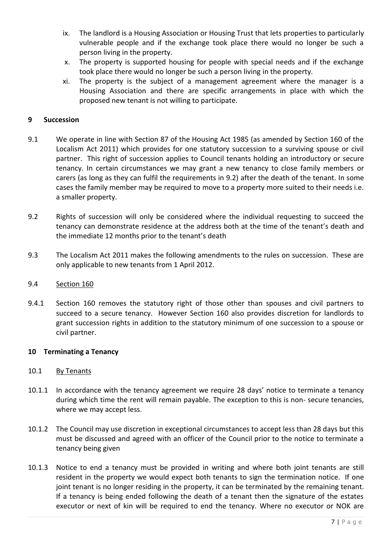- ix. The landlord is a Housing Association or Housing Trust that lets properties to particularly vulnerable people and if the exchange took place there would no longer be such a person living in the property.
- x. The property is supported housing for people with special needs and if the exchange took place there would no longer be such a person living in the property.
- xi. The property is the subject of a management agreement where the manager is a Housing Association and there are specific arrangements in place with which the proposed new tenant is not willing to participate.

## **9 Succession**

- 9.1 We operate in line with Section 87 of the Housing Act 1985 (as amended by Section 160 of the Localism Act 2011) which provides for one statutory succession to a surviving spouse or civil partner. This right of succession applies to Council tenants holding an introductory or secure tenancy. In certain circumstances we may grant a new tenancy to close family members or carers (as long as they can fulfil the requirements in 9.2) after the death of the tenant. In some cases the family member may be required to move to a property more suited to their needs i.e. a smaller property.
- 9.2 Rights of succession will only be considered where the individual requesting to succeed the tenancy can demonstrate residence at the address both at the time of the tenant's death and the immediate 12 months prior to the tenant's death
- 9.3 The Localism Act 2011 makes the following amendments to the rules on succession. These are only applicable to new tenants from 1 April 2012.

### 9.4 Section 160

9.4.1 Section 160 removes the statutory right of those other than spouses and civil partners to succeed to a secure tenancy. However Section 160 also provides discretion for landlords to grant succession rights in addition to the statutory minimum of one succession to a spouse or civil partner.

### **10 Terminating a Tenancy**

### 10.1 By Tenants

- 10.1.1 In accordance with the tenancy agreement we require 28 days' notice to terminate a tenancy during which time the rent will remain payable. The exception to this is non- secure tenancies, where we may accept less.
- 10.1.2 The Council may use discretion in exceptional circumstances to accept less than 28 days but this must be discussed and agreed with an officer of the Council prior to the notice to terminate a tenancy being given
- 10.1.3 Notice to end a tenancy must be provided in writing and where both joint tenants are still resident in the property we would expect both tenants to sign the termination notice. If one joint tenant is no longer residing in the property, it can be terminated by the remaining tenant. If a tenancy is being ended following the death of a tenant then the signature of the estates executor or next of kin will be required to end the tenancy. Where no executor or NOK are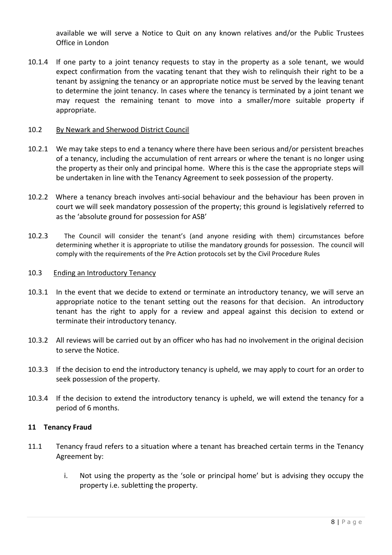available we will serve a Notice to Quit on any known relatives and/or the Public Trustees Office in London

10.1.4 If one party to a joint tenancy requests to stay in the property as a sole tenant, we would expect confirmation from the vacating tenant that they wish to relinquish their right to be a tenant by assigning the tenancy or an appropriate notice must be served by the leaving tenant to determine the joint tenancy. In cases where the tenancy is terminated by a joint tenant we may request the remaining tenant to move into a smaller/more suitable property if appropriate.

### 10.2 By Newark and Sherwood District Council

- 10.2.1 We may take steps to end a tenancy where there have been serious and/or persistent breaches of a tenancy, including the accumulation of rent arrears or where the tenant is no longer using the property as their only and principal home. Where this is the case the appropriate steps will be undertaken in line with the Tenancy Agreement to seek possession of the property.
- 10.2.2 Where a tenancy breach involves anti-social behaviour and the behaviour has been proven in court we will seek mandatory possession of the property; this ground is legislatively referred to as the 'absolute ground for possession for ASB'
- 10.2.3 The Council will consider the tenant's (and anyone residing with them) circumstances before determining whether it is appropriate to utilise the mandatory grounds for possession. The council will comply with the requirements of the Pre Action protocols set by the Civil Procedure Rules

### 10.3 Ending an Introductory Tenancy

- 10.3.1 In the event that we decide to extend or terminate an introductory tenancy, we will serve an appropriate notice to the tenant setting out the reasons for that decision. An introductory tenant has the right to apply for a review and appeal against this decision to extend or terminate their introductory tenancy.
- 10.3.2 All reviews will be carried out by an officer who has had no involvement in the original decision to serve the Notice.
- 10.3.3 If the decision to end the introductory tenancy is upheld, we may apply to court for an order to seek possession of the property.
- 10.3.4 If the decision to extend the introductory tenancy is upheld, we will extend the tenancy for a period of 6 months.

### **11 Tenancy Fraud**

- 11.1 Tenancy fraud refers to a situation where a tenant has breached certain terms in the Tenancy Agreement by:
	- i. Not using the property as the 'sole or principal home' but is advising they occupy the property i.e. subletting the property.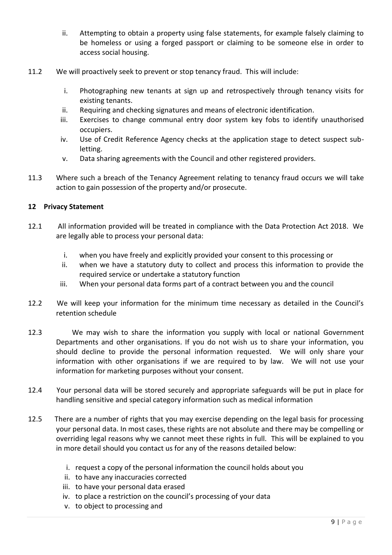- ii. Attempting to obtain a property using false statements, for example falsely claiming to be homeless or using a forged passport or claiming to be someone else in order to access social housing.
- 11.2 We will proactively seek to prevent or stop tenancy fraud. This will include:
	- i. Photographing new tenants at sign up and retrospectively through tenancy visits for existing tenants.
	- ii. Requiring and checking signatures and means of electronic identification.
	- iii. Exercises to change communal entry door system key fobs to identify unauthorised occupiers.
	- iv. Use of Credit Reference Agency checks at the application stage to detect suspect subletting.
	- v. Data sharing agreements with the Council and other registered providers.
- 11.3 Where such a breach of the Tenancy Agreement relating to tenancy fraud occurs we will take action to gain possession of the property and/or prosecute.

### **12 Privacy Statement**

- 12.1 All information provided will be treated in compliance with the Data Protection Act 2018. We are legally able to process your personal data:
	- i. when you have freely and explicitly provided your consent to this processing or
	- ii. when we have a statutory duty to collect and process this information to provide the required service or undertake a statutory function
	- iii. When your personal data forms part of a contract between you and the council
- 12.2 We will keep your information for the minimum time necessary as detailed in the Council's retention schedule
- 12.3 We may wish to share the information you supply with local or national Government Departments and other organisations. If you do not wish us to share your information, you should decline to provide the personal information requested. We will only share your information with other organisations if we are required to by law. We will not use your information for marketing purposes without your consent.
- 12.4 Your personal data will be stored securely and appropriate safeguards will be put in place for handling sensitive and special category information such as medical information
- 12.5 There are a number of rights that you may exercise depending on the legal basis for processing your personal data. In most cases, these rights are not absolute and there may be compelling or overriding legal reasons why we cannot meet these rights in full. This will be explained to you in more detail should you contact us for any of the reasons detailed below:
	- i. request a copy of the personal information the council holds about you
	- ii. to have any inaccuracies corrected
	- iii. to have your personal data erased
	- iv. to place a restriction on the council's processing of your data
	- v. to object to processing and